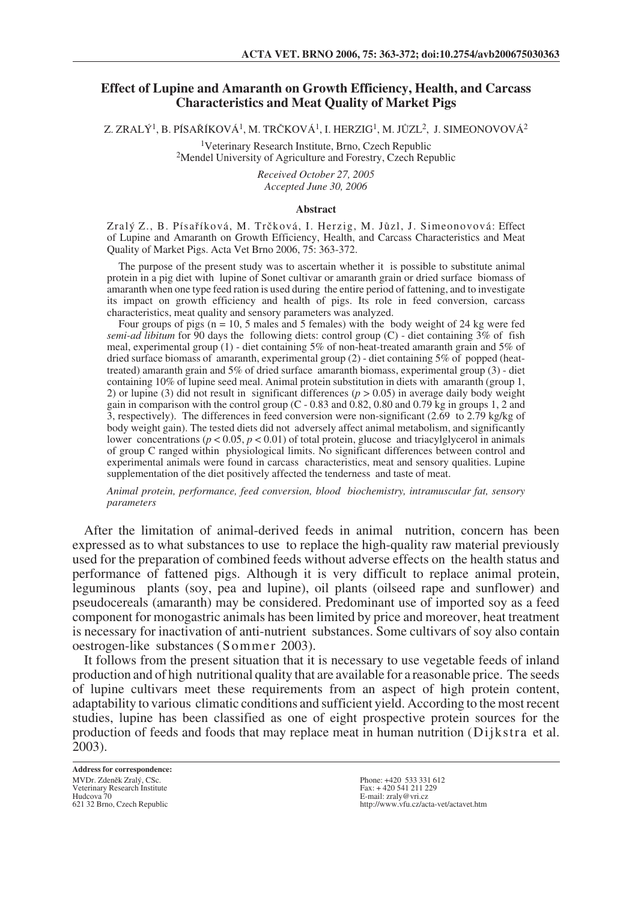## **Effect of Lupine and Amaranth on Growth Efficiency, Health, and Carcass Characteristics and Meat Quality of Market Pigs**

Z. ZRALÝ<sup>1</sup>, B. PÍSAŘÍKOVÁ<sup>1</sup>, M. TRČKOVÁ<sup>1</sup>, I. HERZIG<sup>1</sup>, M. JŮZL<sup>2</sup>, J. SIMEONOVOVÁ<sup>2</sup>

1Veterinary Research Institute, Brno, Czech Republic 2Mendel University of Agriculture and Forestry, Czech Republic

*Received October 27, 2005 Accepted June 30, 2006*

### **Abstract**

Zral˘ Z., B. Písafiíková, M. Trãková, I. Herzig, M. JÛzl, J. Simeonovová: Effect of Lupine and Amaranth on Growth Efficiency, Health, and Carcass Characteristics and Meat Quality of Market Pigs. Acta Vet Brno 2006, 75: 363-372.

The purpose of the present study was to ascertain whether it is possible to substitute animal protein in a pig diet with lupine of Sonet cultivar or amaranth grain or dried surface biomass of amaranth when one type feed ration is used during the entire period of fattening, and to investigate its impact on growth efficiency and health of pigs. Its role in feed conversion, carcass characteristics, meat quality and sensory parameters was analyzed.

Four groups of pigs ( $n = 10$ , 5 males and 5 females) with the body weight of 24 kg were fed *semi-ad libitum* for 90 days the following diets: control group (C) - diet containing 3% of fish meal, experimental group (1) - diet containing 5% of non-heat-treated amaranth grain and 5% of dried surface biomass of amaranth, experimental group (2) - diet containing 5% of popped (heattreated) amaranth grain and 5% of dried surface amaranth biomass, experimental group (3) - diet containing 10% of lupine seed meal. Animal protein substitution in diets with amaranth (group 1, 2) or lupine (3) did not result in significant differences ( $p > 0.05$ ) in average daily body weight gain in comparison with the control group (C - 0.83 and 0.82, 0.80 and 0.79 kg in groups 1, 2 and 3, respectively). The differences in feed conversion were non-significant (2.69 to 2.79 kg/kg of body weight gain). The tested diets did not adversely affect animal metabolism, and significantly lower concentrations (*p* < 0.05, *p* < 0.01) of total protein, glucose and triacylglycerol in animals of group C ranged within physiological limits. No significant differences between control and experimental animals were found in carcass characteristics, meat and sensory qualities. Lupine supplementation of the diet positively affected the tenderness and taste of meat.

*Animal protein, performance, feed conversion, blood biochemistry, intramuscular fat, sensory parameters*

After the limitation of animal-derived feeds in animal nutrition, concern has been expressed as to what substances to use to replace the high-quality raw material previously used for the preparation of combined feeds without adverse effects on the health status and performance of fattened pigs. Although it is very difficult to replace animal protein, leguminous plants (soy, pea and lupine), oil plants (oilseed rape and sunflower) and pseudocereals (amaranth) may be considered. Predominant use of imported soy as a feed component for monogastric animals has been limited by price and moreover, heat treatment is necessary for inactivation of anti-nutrient substances. Some cultivars of soy also contain oestrogen-like substances (Sommer 2003).

It follows from the present situation that it is necessary to use vegetable feeds of inland production and of high nutritional quality that are available for a reasonable price. The seeds of lupine cultivars meet these requirements from an aspect of high protein content, adaptability to various climatic conditions and sufficient yield. According to the most recent studies, lupine has been classified as one of eight prospective protein sources for the production of feeds and foods that may replace meat in human nutrition (Dijkstra et al. 2003).

**Address for correspondence:** MVDr. Zdeněk Zralý, CSc. Veterinary Research Institute Hudcova 70 621 32 Brno, Czech Republic

Phone: +420 533 331 612 Fax: + 420 541 211 229 E-mail: zraly@vri.cz http://www.vfu.cz/acta-vet/actavet.htm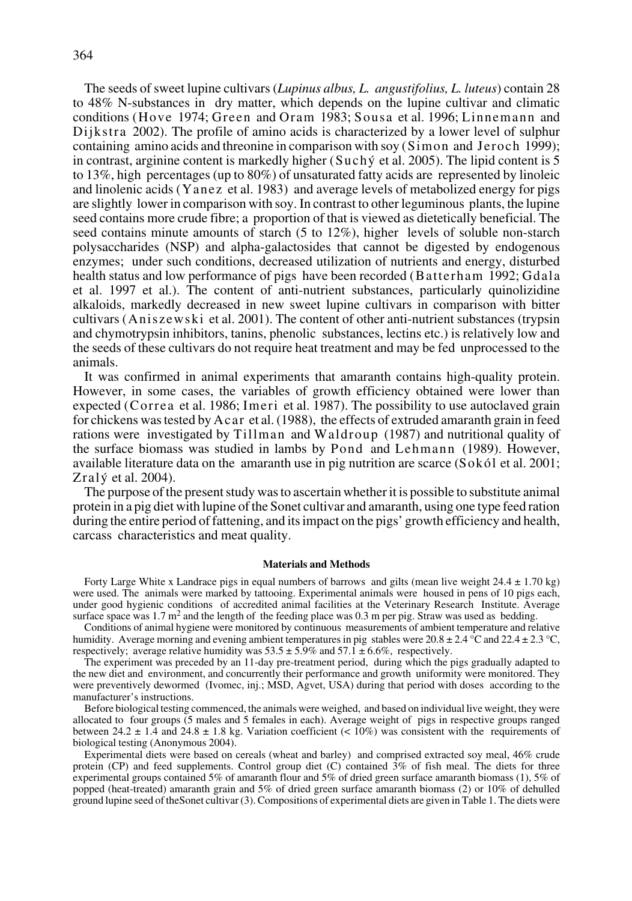The seeds of sweet lupine cultivars (*Lupinus albus, L. angustifolius, L. luteus*) contain 28 to 48% N-substances in dry matter, which depends on the lupine cultivar and climatic conditions (Hove 1974; Green and Oram 1983; Sousa et al. 1996; Linnemann and Dijkstra 2002). The profile of amino acids is characterized by a lower level of sulphur containing amino acids and threonine in comparison with soy (Simon and Jeroch 1999); in contrast, arginine content is markedly higher (Suchý et al. 2005). The lipid content is 5 to 13%, high percentages (up to 80%) of unsaturated fatty acids are represented by linoleic and linolenic acids (Yanez et al. 1983) and average levels of metabolized energy for pigs are slightly lower in comparison with soy. In contrast to other leguminous plants, the lupine seed contains more crude fibre; a proportion of that is viewed as dietetically beneficial. The seed contains minute amounts of starch (5 to 12%), higher levels of soluble non-starch polysaccharides (NSP) and alpha-galactosides that cannot be digested by endogenous enzymes; under such conditions, decreased utilization of nutrients and energy, disturbed health status and low performance of pigs have been recorded (Batterham 1992; Gdala et al. 1997 et al.). The content of anti-nutrient substances, particularly quinolizidine alkaloids, markedly decreased in new sweet lupine cultivars in comparison with bitter cultivars (Aniszewski et al. 2001). The content of other anti-nutrient substances (trypsin and chymotrypsin inhibitors, tanins, phenolic substances, lectins etc.) is relatively low and the seeds of these cultivars do not require heat treatment and may be fed unprocessed to the animals.

It was confirmed in animal experiments that amaranth contains high-quality protein. However, in some cases, the variables of growth efficiency obtained were lower than expected (Correa et al. 1986; Imeri et al. 1987). The possibility to use autoclaved grain for chickens was tested by Acar et al. (1988), the effects of extruded amaranth grain in feed rations were investigated by Tillman and Waldroup (1987) and nutritional quality of the surface biomass was studied in lambs by Pond and Lehmann (1989). However, available literature data on the amaranth use in pig nutrition are scarce (Sokól et al. 2001; Zral $\check{y}$  et al. 2004).

The purpose of the present study was to ascertain whether it is possible to substitute animal protein in a pig diet with lupine of the Sonet cultivar and amaranth, using one type feed ration during the entire period of fattening, and its impact on the pigs' growth efficiency and health, carcass characteristics and meat quality.

#### **Materials and Methods**

Forty Large White x Landrace pigs in equal numbers of barrows and gilts (mean live weight  $24.4 \pm 1.70$  kg) were used. The animals were marked by tattooing. Experimental animals were housed in pens of 10 pigs each, under good hygienic conditions of accredited animal facilities at the Veterinary Research Institute. Average surface space was  $1.7 \text{ m}^2$  and the length of the feeding place was 0.3 m per pig. Straw was used as bedding.

Conditions of animal hygiene were monitored by continuous measurements of ambient temperature and relative humidity. Average morning and evening ambient temperatures in pig stables were  $20.8 \pm 2.4$  °C and  $22.4 \pm 2.3$  °C, respectively; average relative humidity was  $53.5 \pm 5.9\%$  and  $57.1 \pm 6.6\%$ , respectively.

The experiment was preceded by an 11-day pre-treatment period, during which the pigs gradually adapted to the new diet and environment, and concurrently their performance and growth uniformity were monitored. They were preventively dewormed (Ivomec, inj.; MSD, Agvet, USA) during that period with doses according to the manufacturer's instructions.

Before biological testing commenced, the animals were weighed, and based on individual live weight, they were allocated to four groups (5 males and 5 females in each). Average weight of pigs in respective groups ranged between 24.2  $\pm$  1.4 and 24.8  $\pm$  1.8 kg. Variation coefficient (< 10%) was consistent with the requirements of biological testing (Anonymous 2004).

Experimental diets were based on cereals (wheat and barley) and comprised extracted soy meal, 46% crude protein (CP) and feed supplements. Control group diet (C) contained 3% of fish meal. The diets for three experimental groups contained 5% of amaranth flour and 5% of dried green surface amaranth biomass (1), 5% of popped (heat-treated) amaranth grain and 5% of dried green surface amaranth biomass (2) or 10% of dehulled ground lupine seed of theSonet cultivar (3). Compositions of experimental diets are given in Table 1. The diets were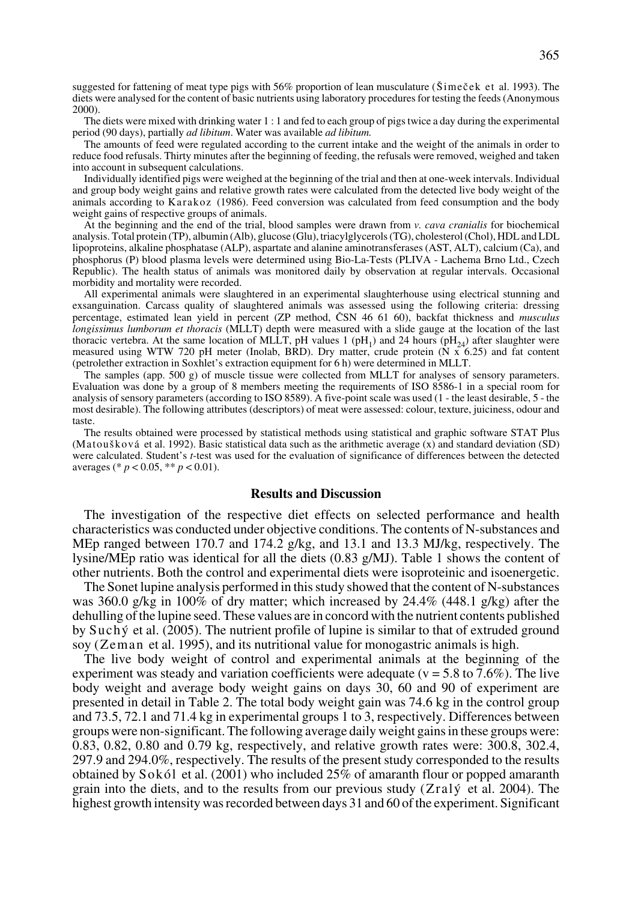suggested for fattening of meat type pigs with  $56\%$  proportion of lean musculature ( $\text{Sime\check{c}ek}$  et al. 1993). The diets were analysed for the content of basic nutrients using laboratory procedures for testing the feeds (Anonymous 2000).

The diets were mixed with drinking water 1 : 1 and fed to each group of pigs twice a day during the experimental period (90 days), partially *ad libitum*. Water was available *ad libitum.*

The amounts of feed were regulated according to the current intake and the weight of the animals in order to reduce food refusals. Thirty minutes after the beginning of feeding, the refusals were removed, weighed and taken into account in subsequent calculations.

Individually identified pigs were weighed at the beginning of the trial and then at one-week intervals. Individual and group body weight gains and relative growth rates were calculated from the detected live body weight of the animals according to Karakoz (1986). Feed conversion was calculated from feed consumption and the body weight gains of respective groups of animals.

At the beginning and the end of the trial, blood samples were drawn from *v. cava cranialis* for biochemical analysis. Total protein (TP), albumin (Alb), glucose (Glu), triacylglycerols (TG), cholesterol (Chol), HDL and LDL lipoproteins, alkaline phosphatase (ALP), aspartate and alanine aminotransferases (AST, ALT), calcium (Ca), and phosphorus (P) blood plasma levels were determined using Bio-La-Tests (PLIVA - Lachema Brno Ltd., Czech Republic). The health status of animals was monitored daily by observation at regular intervals. Occasional morbidity and mortality were recorded.

All experimental animals were slaughtered in an experimental slaughterhouse using electrical stunning and exsanguination. Carcass quality of slaughtered animals was assessed using the following criteria: dressing percentage, estimated lean yield in percent (ZP method, âSN 46 61 60), backfat thickness and *musculus longissimus lumborum et thoracis* (MLLT) depth were measured with a slide gauge at the location of the last thoracic vertebra. At the same location of MLLT, pH values 1 (pH<sub>1</sub>) and 24 hours (pH<sub>24</sub>) after slaughter were measured using WTW 720 pH meter (Inolab, BRD). Dry matter, crude protein (N x 6.25) and fat content (petrolether extraction in Soxhlet's extraction equipment for 6 h) were determined in MLLT.

The samples (app. 500 g) of muscle tissue were collected from MLLT for analyses of sensory parameters. Evaluation was done by a group of 8 members meeting the requirements of ISO 8586-1 in a special room for analysis of sensory parameters (according to ISO 8589). A five-point scale was used (1 - the least desirable, 5 - the most desirable). The following attributes (descriptors) of meat were assessed: colour, texture, juiciness, odour and taste.

The results obtained were processed by statistical methods using statistical and graphic software STAT Plus (Matou‰ková et al. 1992). Basic statistical data such as the arithmetic average (x) and standard deviation (SD) were calculated. Student's *t*-test was used for the evaluation of significance of differences between the detected averages (\* *p* < 0.05, \*\* *p* < 0.01).

## **Results and Discussion**

The investigation of the respective diet effects on selected performance and health characteristics was conducted under objective conditions. The contents of N-substances and MEp ranged between 170.7 and 174.2 g/kg, and 13.1 and 13.3 MJ/kg, respectively. The lysine/MEp ratio was identical for all the diets (0.83 g/MJ). Table 1 shows the content of other nutrients. Both the control and experimental diets were isoproteinic and isoenergetic.

The Sonet lupine analysis performed in this study showed that the content of N-substances was 360.0 g/kg in 100% of dry matter; which increased by 24.4% (448.1 g/kg) after the dehulling of the lupine seed. These values are in concord with the nutrient contents published by Suchý et al. (2005). The nutrient profile of lupine is similar to that of extruded ground soy (Zeman et al. 1995), and its nutritional value for monogastric animals is high.

The live body weight of control and experimental animals at the beginning of the experiment was steady and variation coefficients were adequate ( $v = 5.8$  to 7.6%). The live body weight and average body weight gains on days 30, 60 and 90 of experiment are presented in detail in Table 2. The total body weight gain was 74.6 kg in the control group and 73.5, 72.1 and 71.4 kg in experimental groups 1 to 3, respectively. Differences between groups were non-significant. The following average daily weight gains in these groups were: 0.83, 0.82, 0.80 and 0.79 kg, respectively, and relative growth rates were: 300.8, 302.4, 297.9 and 294.0%, respectively. The results of the present study corresponded to the results obtained by Sokól et al. (2001) who included 25% of amaranth flour or popped amaranth grain into the diets, and to the results from our previous study ( $Zral\acute{y}$  et al. 2004). The highest growth intensity was recorded between days 31 and 60 of the experiment. Significant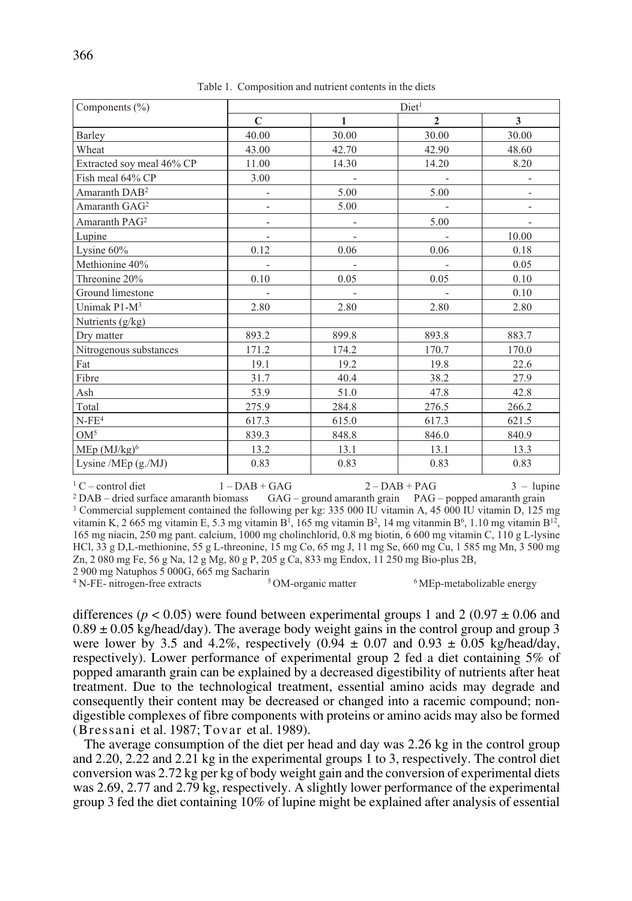| Components $(\% )$        | Diet <sup>1</sup>        |                          |                          |                          |  |
|---------------------------|--------------------------|--------------------------|--------------------------|--------------------------|--|
|                           | $\mathbf C$              | 1                        | $\mathbf{2}$             | 3                        |  |
| Barley                    | 40.00                    | 30.00                    | 30.00                    | 30.00                    |  |
| Wheat                     | 43.00                    | 42.70                    | 42.90                    | 48.60                    |  |
| Extracted soy meal 46% CP | 11.00                    | 14.30                    | 14.20                    | 8.20                     |  |
| Fish meal 64% CP          | 3.00                     |                          |                          |                          |  |
| Amaranth $DAB^2$          | $\overline{\phantom{0}}$ | 5.00                     | 5.00                     | $\overline{\phantom{a}}$ |  |
| Amaranth GAG <sup>2</sup> | $\overline{a}$           | 5.00                     | $\overline{\phantom{a}}$ |                          |  |
| Amaranth PAG <sup>2</sup> |                          |                          | 5.00                     |                          |  |
| Lupine                    | $\overline{\phantom{a}}$ | $\overline{\phantom{a}}$ |                          | 10.00                    |  |
| Lysine $60\%$             | 0.12                     | 0.06                     | 0.06                     | 0.18                     |  |
| Methionine 40%            |                          |                          |                          | 0.05                     |  |
| Threonine 20%             | 0.10                     | 0.05                     | 0.05                     | 0.10                     |  |
| Ground limestone          |                          |                          |                          | 0.10                     |  |
| Unimak $P1-M^3$           | 2.80                     | 2.80                     | 2.80                     | 2.80                     |  |
| Nutrients $(g/kg)$        |                          |                          |                          |                          |  |
| Dry matter                | 893.2                    | 899.8                    | 893.8                    | 883.7                    |  |
| Nitrogenous substances    | 171.2                    | 174.2                    | 170.7                    | 170.0                    |  |
| Fat                       | 19.1                     | 19.2                     | 19.8                     | 22.6                     |  |
| Fibre                     | 31.7                     | 40.4                     | 38.2                     | 27.9                     |  |
| Ash                       | 53.9                     | 51.0                     | 47.8                     | 42.8                     |  |
| Total                     | 275.9                    | 284.8                    | 276.5                    | 266.2                    |  |
| $N$ - $FE4$               | 617.3                    | 615.0                    | 617.3                    | 621.5                    |  |
| $OM^5$                    | 839.3                    | 848.8                    | 846.0                    | 840.9                    |  |
| $MEp (MJ/kg)^6$           | 13.2                     | 13.1                     | 13.1                     | 13.3                     |  |
| Lysine / $MEp(g. / MJ)$   | 0.83                     | 0.83                     | 0.83                     | 0.83                     |  |

Table 1. Composition and nutrient contents in the diets

<sup>1</sup> C – control diet 1 – DAB + GAG 2 – DAB + PAG 3 – lupine<br><sup>2</sup> DAB – dried surface amaranth biomass GAG – ground amaranth grain PAG – popped amaranth grain

GAG – ground amaranth grain PAG – popped amaranth grain <sup>3</sup> Commercial supplement contained the following per kg: 335 000 IU vitamin A, 45 000 IU vitamin D, 125 mg vitamin K, 2 665 mg vitamin E, 5.3 mg vitamin B<sup>1</sup>, 165 mg vitamin B<sup>2</sup>, 14 mg vitanmin B<sup>6</sup>, 1.10 mg vitamin B<sup>12</sup> 165 mg niacin, 250 mg pant. calcium, 1000 mg cholinchlorid, 0.8 mg biotin, 6 600 mg vitamin C, 110 g L-lysine HCl, 33 g D,L-methionine, 55 g L-threonine, 15 mg Co, 65 mg J, 11 mg Se, 660 mg Cu, 1 585 mg Mn, 3 500 mg Zn, 2 080 mg Fe, 56 g Na, 12 g Mg, 80 g P, 205 g Ca, 833 mg Endox, 11 250 mg Bio-plus 2B,

2 900 mg Natuphos 5 000G, 665 mg Sacharin<br><sup>4</sup> N-FE- nitrogen-free extracts <sup>5</sup> OM-organic matter <sup>4</sup> N-FE- nitrogen-free extracts <sup>5</sup> OM-organic matter <sup>6</sup> MEp-metabolizable energy

differences ( $p < 0.05$ ) were found between experimental groups 1 and 2 (0.97  $\pm$  0.06 and  $0.89 \pm 0.05$  kg/head/day). The average body weight gains in the control group and group 3 were lower by 3.5 and 4.2%, respectively  $(0.94 \pm 0.07 \text{ and } 0.93 \pm 0.05 \text{ kg/head/day})$ respectively). Lower performance of experimental group 2 fed a diet containing 5% of popped amaranth grain can be explained by a decreased digestibility of nutrients after heat treatment. Due to the technological treatment, essential amino acids may degrade and consequently their content may be decreased or changed into a racemic compound; nondigestible complexes of fibre components with proteins or amino acids may also be formed (Bressani et al. 1987; Tovar et al. 1989).

The average consumption of the diet per head and day was 2.26 kg in the control group and 2.20, 2.22 and 2.21 kg in the experimental groups 1 to 3, respectively. The control diet conversion was 2.72 kg per kg of body weight gain and the conversion of experimental diets was 2.69, 2.77 and 2.79 kg, respectively. A slightly lower performance of the experimental group 3 fed the diet containing 10% of lupine might be explained after analysis of essential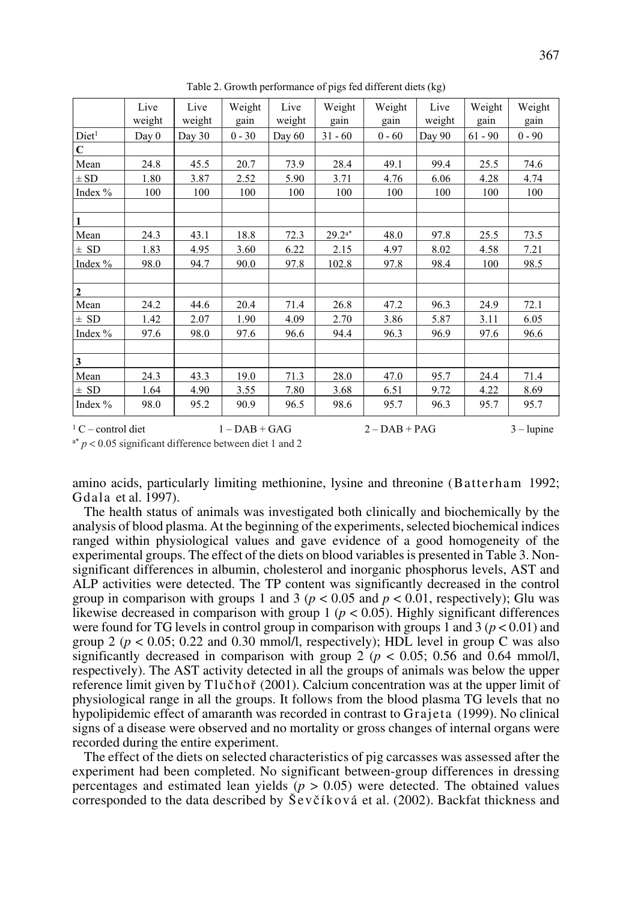|                         | Live<br>weight | Live<br>weight | Weight<br>gain  | Live<br>weight | Weight<br>gain | Weight<br>gain  | Live<br>weight | Weight<br>gain | Weight<br>gain |
|-------------------------|----------------|----------------|-----------------|----------------|----------------|-----------------|----------------|----------------|----------------|
| Diet <sup>1</sup>       | Day 0          | Day 30         | $0 - 30$        | Day $60$       | $31 - 60$      | $0 - 60$        | Day 90         | $61 - 90$      | $0 - 90$       |
| $\overline{\mathbf{C}}$ |                |                |                 |                |                |                 |                |                |                |
| Mean                    | 24.8           | 45.5           | 20.7            | 73.9           | 28.4           | 49.1            | 99.4           | 25.5           | 74.6           |
| $\pm$ SD                | 1.80           | 3.87           | 2.52            | 5.90           | 3.71           | 4.76            | 6.06           | 4.28           | 4.74           |
| Index %                 | 100            | 100            | 100             | 100            | 100            | 100             | 100            | 100            | 100            |
|                         |                |                |                 |                |                |                 |                |                |                |
| $\mathbf{1}$            |                |                |                 |                |                |                 |                |                |                |
| Mean                    | 24.3           | 43.1           | 18.8            | 72.3           | $29.2^{a*}$    | 48.0            | 97.8           | 25.5           | 73.5           |
| $\pm$ SD                | 1.83           | 4.95           | 3.60            | 6.22           | 2.15           | 4.97            | 8.02           | 4.58           | 7.21           |
| Index $\%$              | 98.0           | 94.7           | 90.0            | 97.8           | 102.8          | 97.8            | 98.4           | 100            | 98.5           |
|                         |                |                |                 |                |                |                 |                |                |                |
| $\overline{2}$          |                |                |                 |                |                |                 |                |                |                |
| Mean                    | 24.2           | 44.6           | 20.4            | 71.4           | 26.8           | 47.2            | 96.3           | 24.9           | 72.1           |
| $\pm$ SD                | 1.42           | 2.07           | 1.90            | 4.09           | 2.70           | 3.86            | 5.87           | 3.11           | 6.05           |
| Index %                 | 97.6           | 98.0           | 97.6            | 96.6           | 94.4           | 96.3            | 96.9           | 97.6           | 96.6           |
|                         |                |                |                 |                |                |                 |                |                |                |
| $\overline{\mathbf{3}}$ |                |                |                 |                |                |                 |                |                |                |
| Mean                    | 24.3           | 43.3           | 19.0            | 71.3           | 28.0           | 47.0            | 95.7           | 24.4           | 71.4           |
| $\pm$ SD                | 1.64           | 4.90           | 3.55            | 7.80           | 3.68           | 6.51            | 9.72           | 4.22           | 8.69           |
| Index $%$               | 98.0           | 95.2           | 90.9            | 96.5           | 98.6           | 95.7            | 96.3           | 95.7           | 95.7           |
| $1$ C – control diet    |                |                | $1 - DAB + GAG$ |                |                | $2 - DAB + PAG$ |                |                | $3 - l$ upine  |

Table 2. Growth performance of pigs fed different diets (kg)

a\* *p* < 0.05 significant difference between diet 1 and 2

amino acids, particularly limiting methionine, lysine and threonine (Batterham 1992; Gdala et al. 1997).

The health status of animals was investigated both clinically and biochemically by the analysis of blood plasma. At the beginning of the experiments, selected biochemical indices ranged within physiological values and gave evidence of a good homogeneity of the experimental groups. The effect of the diets on blood variables is presented in Table 3. Nonsignificant differences in albumin, cholesterol and inorganic phosphorus levels, AST and ALP activities were detected. The TP content was significantly decreased in the control group in comparison with groups 1 and 3 ( $p < 0.05$  and  $p < 0.01$ , respectively); Glu was likewise decreased in comparison with group  $1 (p < 0.05)$ . Highly significant differences were found for TG levels in control group in comparison with groups 1 and 3  $(p < 0.01)$  and group 2 ( $p < 0.05$ ; 0.22 and 0.30 mmol/l, respectively); HDL level in group C was also significantly decreased in comparison with group 2 ( $p < 0.05$ ; 0.56 and 0.64 mmol/l, respectively). The AST activity detected in all the groups of animals was below the upper reference limit given by Tlučhoř (2001). Calcium concentration was at the upper limit of physiological range in all the groups. It follows from the blood plasma TG levels that no hypolipidemic effect of amaranth was recorded in contrast to Grajeta (1999). No clinical signs of a disease were observed and no mortality or gross changes of internal organs were recorded during the entire experiment.

The effect of the diets on selected characteristics of pig carcasses was assessed after the experiment had been completed. No significant between-group differences in dressing percentages and estimated lean yields  $(p > 0.05)$  were detected. The obtained values corresponded to the data described by  $\&$ evčíková et al. (2002). Backfat thickness and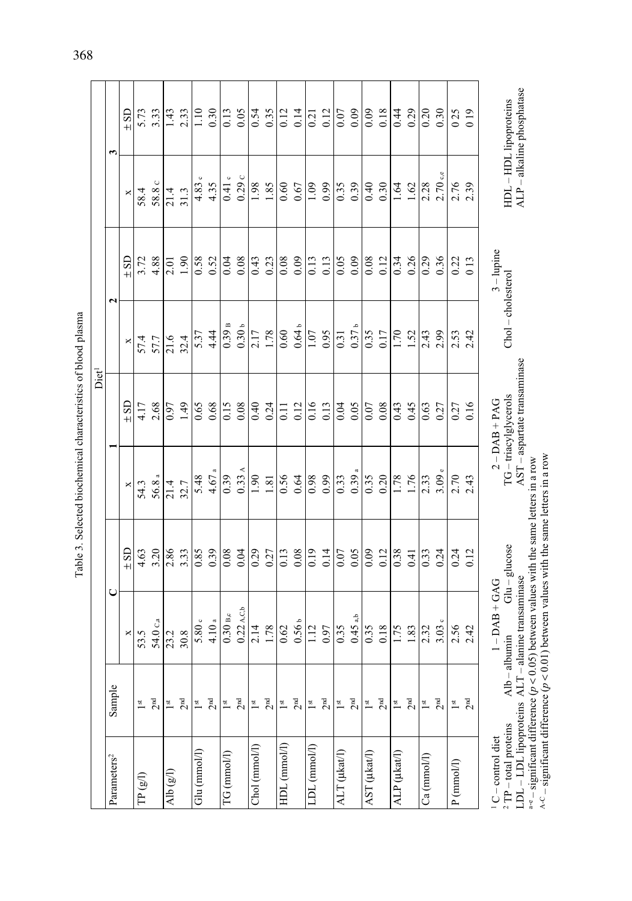| ı<br>۱<br>ı<br>í<br>۱<br>i                             |
|--------------------------------------------------------|
| ı<br>í                                                 |
| ۱<br>í<br>۱<br>۱<br>i                                  |
| í                                                      |
| $\overline{\phantom{a}}$<br>l<br>l<br>í<br>ı<br>۱<br>í |
| í                                                      |
| ֠<br>۱<br>۱<br>i                                       |

|                                                                                                    |                            |                                                                                                                                                                                                                                                  |                 |                            | Diet <sup>1</sup>                                                      |                   |              |            |                                                      |
|----------------------------------------------------------------------------------------------------|----------------------------|--------------------------------------------------------------------------------------------------------------------------------------------------------------------------------------------------------------------------------------------------|-----------------|----------------------------|------------------------------------------------------------------------|-------------------|--------------|------------|------------------------------------------------------|
| Parameters <sup>2</sup>                                                                            | Sample                     | $\mathsf{C}$                                                                                                                                                                                                                                     |                 |                            |                                                                        |                   | 2            |            | 3                                                    |
|                                                                                                    |                            | ×                                                                                                                                                                                                                                                | $±$ SD          | ×                          | $±$ SD                                                                 | ×                 | $\pm$ SD     | ×          | $±$ SD                                               |
| TP(gI)                                                                                             | $\mathsf{I}$               | 53.5                                                                                                                                                                                                                                             | 4.63            | 54.3                       | 4.17                                                                   | 57.4              | 3.72         | 58.4       | 5.73                                                 |
|                                                                                                    | $2^{\rm nd}$               | 54.0 <sub>C,a</sub>                                                                                                                                                                                                                              | 3.20            | 56.8 <sub>a</sub>          | 2.68                                                                   | 57.7              | 4.88         | 58.8 c     | 3.33                                                 |
| Alb $(gI)$                                                                                         | $\mathbb{I}^{\mathrm{st}}$ | 23.2                                                                                                                                                                                                                                             | 2.86            | 21.4                       | 0.97                                                                   | 21.6              | 2.01         | 21.4       | 1.43                                                 |
|                                                                                                    | $2^{\rm nd}$               | 30.8                                                                                                                                                                                                                                             | 3.33            | 32.7                       | 1.49                                                                   | 32.4              | 0.61         | 31.3       | 2.33                                                 |
| $Glu$ ( $mmol/l$ )                                                                                 | $\frac{st}{t}$             | 5.80 <sub>c</sub>                                                                                                                                                                                                                                | 0.85            | 5.48                       | 0.65                                                                   | 5.37              | 0.58         | 4.83c      | 1.10                                                 |
|                                                                                                    | 2 <sup>nd</sup>            | 4.10a                                                                                                                                                                                                                                            | 0.39            | 4.67 <sub>a</sub>          | 0.68                                                                   | 4.44              | 0.52         | 4.35       | 0.30                                                 |
| TG (mmol/l)                                                                                        | $\frac{st}{t}$             | $0.30$ B,c                                                                                                                                                                                                                                       | 0.08            | 0.39                       | 0.15                                                                   | 0.39B             | 0.04         | $0.41$ c   | 0.13                                                 |
|                                                                                                    | 2 <sup>nd</sup>            | $0.22$ A,C,b                                                                                                                                                                                                                                     | 0.04            | $0.33 \text{ A}$           | 0.08                                                                   | 0.30 <sub>b</sub> | 0.08         | 0.29c      | 0.05                                                 |
| Chol (mmol/l)                                                                                      | $\mathbb{I}$               | 2.14                                                                                                                                                                                                                                             | 0.29            | 1.90                       | 0.40                                                                   | 2.17              | 0.43         | 1.98       | 0.54                                                 |
|                                                                                                    | $2^{\rm nd}$               | 1.78                                                                                                                                                                                                                                             | 0.27            | $1.81\,$                   | 0.24                                                                   | 1.78              | 0.23         | 1.85       | 0.35                                                 |
| HDL (mmol/l)                                                                                       | $\frac{st}{t}$             | 0.62                                                                                                                                                                                                                                             | 0.13            | 0.56                       | $\overline{0.11}$                                                      | 0.60              | 0.08         | 0.60       | 0.12                                                 |
|                                                                                                    | 2 <sup>nd</sup>            | 0.56 <sub>b</sub>                                                                                                                                                                                                                                | 0.08            | 0.64                       | 0.12                                                                   | 0.64 <sub>b</sub> | 0.09         | 0.67       | 0.14                                                 |
| $LDL$ ( $mmol/l$ )                                                                                 | $\frac{st}{t}$             | 1.12                                                                                                                                                                                                                                             | 0.19            | 0.98                       | 0.16                                                                   | 1.07              | 0.13         | 1.09       | 0.21                                                 |
|                                                                                                    | 2 <sup>nd</sup>            | 0.97                                                                                                                                                                                                                                             | 0.14            | 0.99                       | 0.13                                                                   | 0.95              | 0.13         | 0.99       | 0.12                                                 |
| ALT (µkat/l)                                                                                       | $\frac{st}{t}$             | 0.35                                                                                                                                                                                                                                             | 0.07            | 0.33                       | 0.04                                                                   | 0.31              | 0.05         | 0.35       | 0.07                                                 |
|                                                                                                    | 2 <sup>nd</sup>            | $0.45$ a,b                                                                                                                                                                                                                                       | 0.05            | $0.39$ a                   | 0.05                                                                   | 0.37 <sub>b</sub> | 0.09         | 0.39       | 0.09                                                 |
| AST (µkat/l)                                                                                       | $\frac{st}{t}$             | 0.35                                                                                                                                                                                                                                             | 0.09            | $\overline{0.35}$          | 0.07                                                                   | $\frac{35}{3}$    | 0.08         | 0.40       | 0.09                                                 |
|                                                                                                    | 2 <sup>nd</sup>            | 0.18                                                                                                                                                                                                                                             | 0.12            | 0.20                       | 0.08                                                                   | 0.17              | 0.12         | 0.30       | 0.18                                                 |
| ALP (µkat/l)                                                                                       | $\frac{st}{t}$             | 1.75                                                                                                                                                                                                                                             | 0.38            | 1.78                       | 0.43                                                                   | 1.70              | 0.34         | 1.64       | 0.44                                                 |
|                                                                                                    | $2^{\rm nd}$               | 1.83                                                                                                                                                                                                                                             | 0.41            | 1.76                       | 0.45                                                                   | 1.52              | 0.26         | 1.62       | 0.29                                                 |
| Ca (mmol/l)                                                                                        | $1^{\rm st}$               | 2.32                                                                                                                                                                                                                                             | 0.33            | 2.33                       | 0.63                                                                   | 2.43              | 0.29         | 2.28       | 0.20                                                 |
|                                                                                                    | 2 <sup>nd</sup>            | $3.03\,$ c                                                                                                                                                                                                                                       | 0.24            | $3.09$ $\scriptstyle\rm e$ | 0.27                                                                   | 2.99              | 0.36         | $2.70$ c,e | 0.30                                                 |
| P(mmol/l)                                                                                          | $\frac{st}{t}$             | 2.56                                                                                                                                                                                                                                             | 0.24            | 2.70                       | 0.27                                                                   | 2.53              | 0.22         | 2.76       | 025                                                  |
|                                                                                                    | 2 <sub>nd</sub>            | 2.42                                                                                                                                                                                                                                             | 0.12            | 2.43                       | 0.16                                                                   | 2.42              | 013          | 2.39       | 019                                                  |
| $A-C$ – significant difference ( $p$<br>$2$ $\mathrm{TP}$ – total proteins<br>$1$ C – control diet | Alb                        | < 0.01) between values with the same letters in a row<br><sup>a-e</sup> – significant difference ( $p < 0.05$ ) between values with the same letters in a row<br>LDL-LDL lipoproteins ALT-alanine transaminase<br>$1 - DAB + GAG$<br>$-$ albumin | $Glu - glucose$ |                            | AST - aspartate transaminase<br>TG-triacylglycerols<br>$2 - DAB + PAG$ | Chol-cholesterol  | $3 -$ lupine |            | ALP - alkaline phosphatase<br>HDL - HDL lipoproteins |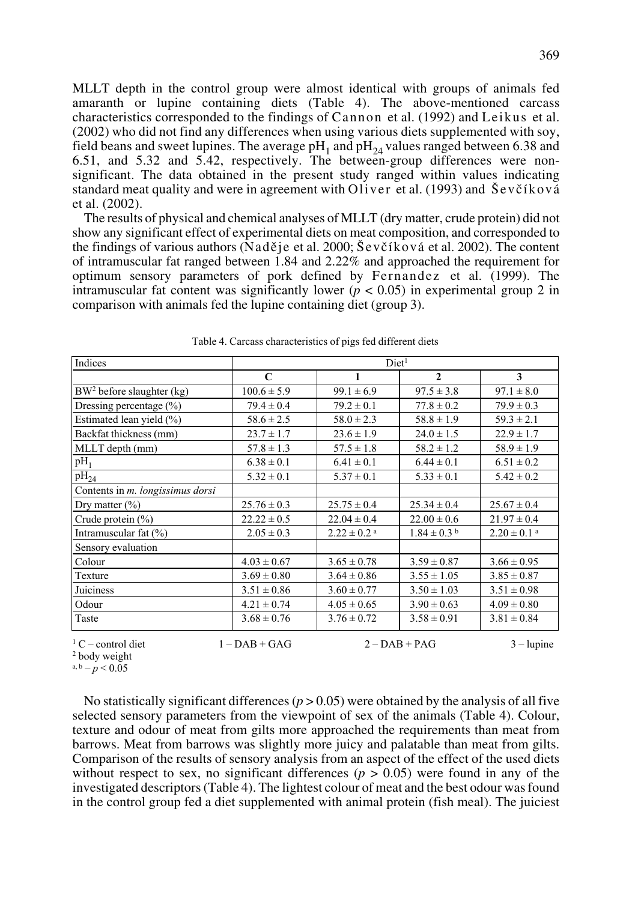MLLT depth in the control group were almost identical with groups of animals fed amaranth or lupine containing diets (Table 4). The above-mentioned carcass characteristics corresponded to the findings of Cannon et al. (1992) and Leikus et al. (2002) who did not find any differences when using various diets supplemented with soy, field beans and sweet lupines. The average  $pH_1$  and  $pH_{24}$  values ranged between 6.38 and 6.51, and 5.32 and 5.42, respectively. The between-group differences were nonsignificant. The data obtained in the present study ranged within values indicating standard meat quality and were in agreement with Oliver et al.  $(1993)$  and  $Sevčíková$ et al. (2002).

The results of physical and chemical analyses of MLLT (dry matter, crude protein) did not show any significant effect of experimental diets on meat composition, and corresponded to the findings of various authors (Naděje et al. 2000;  $\text{\$ev\`e\`ikov\`a}$  et al. 2002). The content of intramuscular fat ranged between 1.84 and 2.22% and approached the requirement for optimum sensory parameters of pork defined by Fernandez et al. (1999). The intramuscular fat content was significantly lower ( $p < 0.05$ ) in experimental group 2 in comparison with animals fed the lupine containing diet (group 3).

| Indices                               | Diet <sup>1</sup> |                             |                  |                             |  |
|---------------------------------------|-------------------|-----------------------------|------------------|-----------------------------|--|
|                                       | $\mathbf C$       | 1                           | $\mathbf{2}$     | 3                           |  |
| BW <sup>2</sup> before slaughter (kg) | $100.6 \pm 5.9$   | $99.1 \pm 6.9$              | $97.5 \pm 3.8$   | $97.1 \pm 8.0$              |  |
| Dressing percentage $(\% )$           | $79.4 \pm 0.4$    | $79.2 \pm 0.1$              | $77.8 \pm 0.2$   | $79.9 \pm 0.3$              |  |
| Estimated lean yield (%)              | $58.6 \pm 2.5$    | $58.0 \pm 2.3$              | $58.8 \pm 1.9$   | $59.3 \pm 2.1$              |  |
| Backfat thickness (mm)                | $23.7 \pm 1.7$    | $23.6 \pm 1.9$              | $24.0 \pm 1.5$   | $22.9 \pm 1.7$              |  |
| MLLT depth (mm)                       | $57.8 \pm 1.3$    | $57.5 \pm 1.8$              | $58.2 \pm 1.2$   | $58.9 \pm 1.9$              |  |
| $pH_1$                                | $6.38 \pm 0.1$    | $6.41 \pm 0.1$              | $6.44 \pm 0.1$   | $6.51 \pm 0.2$              |  |
| $pH_{24}$                             | $5.32 \pm 0.1$    | $5.37 \pm 0.1$              | $5.33 \pm 0.1$   | $5.42 \pm 0.2$              |  |
| Contents in m. longissimus dorsi      |                   |                             |                  |                             |  |
| Dry matter $(\%)$                     | $25.76 \pm 0.3$   | $25.75 \pm 0.4$             | $25.34 \pm 0.4$  | $25.67 \pm 0.4$             |  |
| Crude protein $(\%)$                  | $22.22 \pm 0.5$   | $22.04 \pm 0.4$             | $22.00 \pm 0.6$  | $21.97 \pm 0.4$             |  |
| Intramuscular fat (%)                 | $2.05 \pm 0.3$    | $2.22 \pm 0.2$ <sup>a</sup> | $1.84 \pm 0.3$ b | $2.20 \pm 0.1$ <sup>a</sup> |  |
| Sensory evaluation                    |                   |                             |                  |                             |  |
| Colour                                | $4.03 \pm 0.67$   | $3.65 \pm 0.78$             | $3.59 \pm 0.87$  | $3.66 \pm 0.95$             |  |
| Texture                               | $3.69 \pm 0.80$   | $3.64 \pm 0.86$             | $3.55 \pm 1.05$  | $3.85 \pm 0.87$             |  |
| Juiciness                             | $3.51 \pm 0.86$   | $3.60 \pm 0.77$             | $3.50 \pm 1.03$  | $3.51 \pm 0.98$             |  |
| Odour                                 | $4.21 \pm 0.74$   | $4.05 \pm 0.65$             | $3.90 \pm 0.63$  | $4.09 \pm 0.80$             |  |
| Taste                                 | $3.68 \pm 0.76$   | $3.76 \pm 0.72$             | $3.58 \pm 0.91$  | $3.81 \pm 0.84$             |  |
| ${}^{1}C$ – control diet              | $1 - DAB + GAG$   |                             | $2 - DAB + PAG$  | $3 - l$ upine               |  |

a,  $b - p < 0.05$ 

No statistically significant differences  $(p > 0.05)$  were obtained by the analysis of all five selected sensory parameters from the viewpoint of sex of the animals (Table 4). Colour, texture and odour of meat from gilts more approached the requirements than meat from barrows. Meat from barrows was slightly more juicy and palatable than meat from gilts. Comparison of the results of sensory analysis from an aspect of the effect of the used diets without respect to sex, no significant differences ( $p > 0.05$ ) were found in any of the investigated descriptors (Table 4). The lightest colour of meat and the best odour was found in the control group fed a diet supplemented with animal protein (fish meal). The juiciest

<sup>2</sup> body weight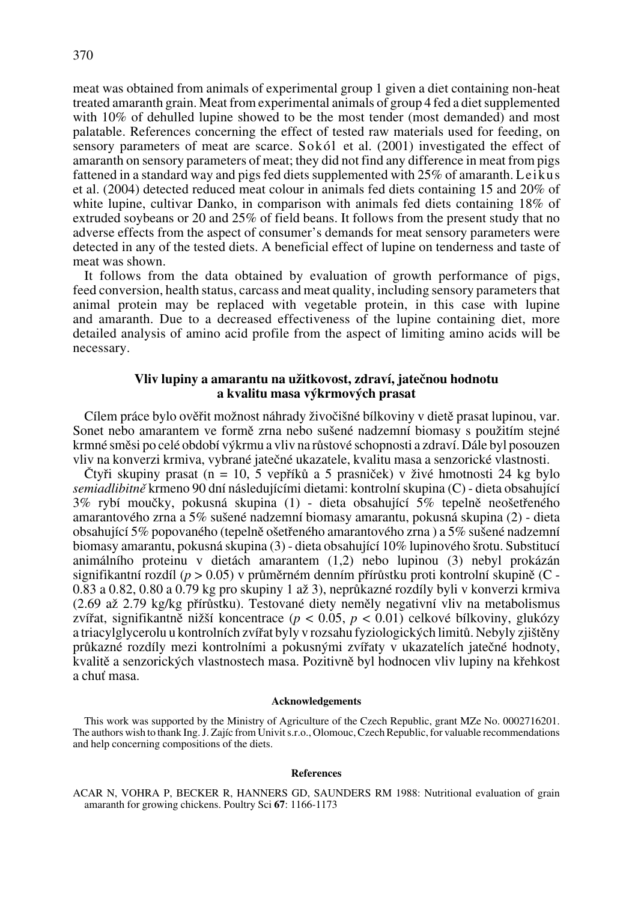meat was obtained from animals of experimental group 1 given a diet containing non-heat treated amaranth grain. Meat from experimental animals of group 4 fed a diet supplemented with 10% of dehulled lupine showed to be the most tender (most demanded) and most palatable. References concerning the effect of tested raw materials used for feeding, on sensory parameters of meat are scarce. Sokól et al. (2001) investigated the effect of amaranth on sensory parameters of meat; they did not find any difference in meat from pigs fattened in a standard way and pigs fed diets supplemented with 25% of amaranth. Leikus et al. (2004) detected reduced meat colour in animals fed diets containing 15 and 20% of white lupine, cultivar Danko, in comparison with animals fed diets containing 18% of extruded soybeans or 20 and 25% of field beans. It follows from the present study that no adverse effects from the aspect of consumer's demands for meat sensory parameters were detected in any of the tested diets. A beneficial effect of lupine on tenderness and taste of meat was shown.

It follows from the data obtained by evaluation of growth performance of pigs, feed conversion, health status, carcass and meat quality, including sensory parameters that animal protein may be replaced with vegetable protein, in this case with lupine and amaranth. Due to a decreased effectiveness of the lupine containing diet, more detailed analysis of amino acid profile from the aspect of limiting amino acids will be necessary.

# Vliv lupiny a amarantu na užitkovost, zdraví, jatečnou hodnotu **a kvalitu masa v˘krmov˘ch prasat**

Cílem práce bylo ověřit možnost náhrady živočišné bílkoviny v dietě prasat lupinou, var. Sonet nebo amarantem ve formě zrna nebo sušené nadzemní biomasy s použitím stejné krmné směsi po celé období výkrmu a vliv na růstové schopnosti a zdraví. Dále byl posouzen vliv na konverzi krmiva, vybrané jateãné ukazatele, kvalitu masa a senzorické vlastnosti.

Čtyři skupiny prasat (n = 10, 5 vepříků a 5 prasniček) v živé hmotnosti 24 kg bylo *semiadlibitnû* krmeno 90 dní následujícími dietami: kontrolní skupina (C) - dieta obsahující 3% rybí mouãky, pokusná skupina (1) - dieta obsahující 5% tepelnû neo‰etfieného amarantového zrna a 5% sušené nadzemní biomasy amarantu, pokusná skupina (2) - dieta obsahující 5% popovaného (tepelnû o‰etfieného amarantového zrna ) a 5% su‰ené nadzemní biomasy amarantu, pokusná skupina (3) - dieta obsahující 10% lupinového šrotu. Substitucí animálního proteinu v dietách amarantem (1,2) nebo lupinou (3) nebyl prokázán signifikantní rozdíl ( $p > 0.05$ ) v průměrném denním přírůstku proti kontrolní skupině (C - $0.83$  a  $0.82$ ,  $0.80$  a  $0.79$  kg pro skupiny 1 až 3), neprůkazné rozdíly byli v konverzi krmiva  $(2.69$  až 2.79 kg/kg přírůstku). Testované diety neměly negativní vliv na metabolismus zvířat, signifikantně nižší koncentrace ( $p < 0.05$ ,  $p < 0.01$ ) celkové bílkoviny, glukózy a triacylglycerolu u kontrolních zvířat byly v rozsahu fyziologických limitů. Nebyly zjištěny průkazné rozdíly mezi kontrolními a pokusnými zvířaty v ukazatelích jatečné hodnoty, kvalitě a senzorických vlastnostech masa. Pozitivně byl hodnocen vliv lupiny na křehkost a chuÈ masa.

### **Acknowledgements**

This work was supported by the Ministry of Agriculture of the Czech Republic, grant MZe No. 0002716201. The authors wish to thank Ing. J. Zajíc from Univit s.r.o., Olomouc, Czech Republic, for valuable recommendations and help concerning compositions of the diets.

#### **References**

ACAR N, VOHRA P, BECKER R, HANNERS GD, SAUNDERS RM 1988: Nutritional evaluation of grain amaranth for growing chickens. Poultry Sci **67**: 1166-1173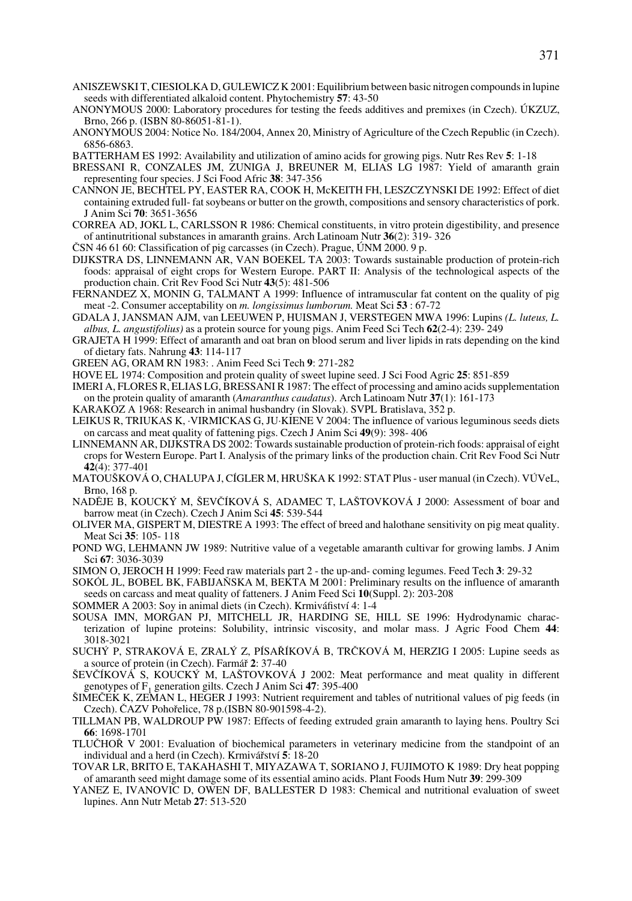- ANISZEWSKI T, CIESIOLKA D, GULEWICZ K 2001: Equilibrium between basic nitrogen compounds in lupine seeds with differentiated alkaloid content. Phytochemistry **57**: 43-50
- ANONYMOUS 2000: Laboratory procedures for testing the feeds additives and premixes (in Czech). ÚKZUZ, Brno, 266 p. (ISBN 80-86051-81-1).
- ANONYMOUS 2004: Notice No. 184/2004, Annex 20, Ministry of Agriculture of the Czech Republic (in Czech). 6856-6863.

BATTERHAM ES 1992: Availability and utilization of amino acids for growing pigs. Nutr Res Rev **5**: 1-18

- BRESSANI R, CONZALES JM, ZUNIGA J, BREUNER M, ELIAS LG 1987: Yield of amaranth grain representing four species. J Sci Food Afric **38**: 347-356
- CANNON JE, BECHTEL PY, EASTER RA, COOK H, McKEITH FH, LESZCZYNSKI DE 1992: Effect of diet containing extruded full- fat soybeans or butter on the growth, compositions and sensory characteristics of pork. J Anim Sci **70**: 3651-3656
- CORREA AD, JOKL L, CARLSSON R 1986: Chemical constituents, in vitro protein digestibility, and presence of antinutritional substances in amaranth grains. Arch Latinoam Nutr **36**(2): 319- 326
- ČSN 46 61 60: Classification of pig carcasses (in Czech). Prague, UNM 2000. 9 p.
- DIJKSTRA DS, LINNEMANN AR, VAN BOEKEL TA 2003: Towards sustainable production of protein-rich foods: appraisal of eight crops for Western Europe. PART II: Analysis of the technological aspects of the production chain. Crit Rev Food Sci Nutr **43**(5): 481-506
- FERNANDEZ X, MONIN G, TALMANT A 1999: Influence of intramuscular fat content on the quality of pig meat -2. Consumer acceptability on *m. longissimus lumborum.* Meat Sci **53** : 67-72
- GDALA J, JANSMAN AJM, van LEEUWEN P, HUISMAN J, VERSTEGEN MWA 1996: Lupins *(L. luteus, L. albus, L. angustifolius)* as a protein source for young pigs. Anim Feed Sci Tech **62**(2-4): 239- 249
- GRAJETA H 1999: Effect of amaranth and oat bran on blood serum and liver lipids in rats depending on the kind of dietary fats. Nahrung **43**: 114-117
- GREEN AG, ORAM RN 1983: . Anim Feed Sci Tech **9**: 271-282
- HOVE EL 1974: Composition and protein quality of sweet lupine seed. J Sci Food Agric **25**: 851-859
- IMERI A, FLORES R, ELIAS LG, BRESSANI R 1987: The effect of processing and amino acids supplementation on the protein quality of amaranth (*Amaranthus caudatus*). Arch Latinoam Nutr **37**(1): 161-173
- KARAKOZ A 1968: Research in animal husbandry (in Slovak). SVPL Bratislava, 352 p.
- LEIKUS R, TRIUKAS K, ·VIRMICKAS G, JU·KIENE V 2004: The influence of various leguminous seeds diets on carcass and meat quality of fattening pigs. Czech J Anim Sci **49**(9): 398- 406
- LINNEMANN AR, DIJKSTRA DS 2002: Towards sustainable production of protein-rich foods: appraisal of eight crops for Western Europe. Part I. Analysis of the primary links of the production chain. Crit Rev Food Sci Nutr **42**(4): 377-401
- MATOUŠKOVÁ O, CHALUPA J, CÍGLER M, HRUŠKA K 1992: STAT Plus user manual (in Czech). VÚVeL, Brno, 168 p.
- NADĚJE B, KOUCKÝ M, ŠEVČÍKOVÁ S, ADAMEC T, LAŠTOVKOVÁ J 2000: Assessment of boar and barrow meat (in Czech). Czech J Anim Sci **45**: 539-544
- OLIVER MA, GISPERT M, DIESTRE A 1993: The effect of breed and halothane sensitivity on pig meat quality. Meat Sci **35**: 105- 118
- POND WG, LEHMANN JW 1989: Nutritive value of a vegetable amaranth cultivar for growing lambs. J Anim Sci **67**: 3036-3039
- SIMON O, JEROCH H 1999: Feed raw materials part 2 the up-and- coming legumes. Feed Tech **3**: 29-32
- SOKÓL JL, BOBEL BK, FABIJAŇSKA M, BEKTA M 2001: Preliminary results on the influence of amaranth seeds on carcass and meat quality of fatteners. J Anim Feed Sci **10**(Suppl. 2): 203-208
- SOMMER A 2003: Soy in animal diets (in Czech). Krmiváfiství 4: 1-4
- SOUSA IMN, MORGAN PJ, MITCHELL JR, HARDING SE, HILL SE 1996: Hydrodynamic characterization of lupine proteins: Solubility, intrinsic viscosity, and molar mass. J Agric Food Chem **44**: 3018-3021
- SUCHÝ P, STRAKOVÁ E, ZRALÝ Z, PÍSAŘÍKOVÁ B, TRČKOVÁ M, HERZIG I 2005: Lupine seeds as a source of protein (in Czech). Farmáfi **2**: 37-40
- SEVČÍKOVÁ S, KOUCKÝ M, LAŠTOVKOVÁ J 2002: Meat performance and meat quality in different genotypes of F1 generation gilts. Czech J Anim Sci **47**: 395-400
- SIMEČEK K, ZEMAN L, HEGER J 1993: Nutrient requirement and tables of nutritional values of pig feeds (in Czech). âAZV Pohofielice, 78 p.(ISBN 80-901598-4-2).
- TILLMAN PB, WALDROUP PW 1987: Effects of feeding extruded grain amaranth to laying hens. Poultry Sci **66**: 1698-1701
- TLUâHO¤ V 2001: Evaluation of biochemical parameters in veterinary medicine from the standpoint of an individual and a herd (in Czech). Krmiváfiství **5**: 18-20
- TOVAR LR, BRITO E, TAKAHASHI T, MIYAZAWA T, SORIANO J, FUJIMOTO K 1989: Dry heat popping of amaranth seed might damage some of its essential amino acids. Plant Foods Hum Nutr **39**: 299-309
- YANEZ E, IVANOVIC D, OWEN DF, BALLESTER D 1983: Chemical and nutritional evaluation of sweet lupines. Ann Nutr Metab **27**: 513-520